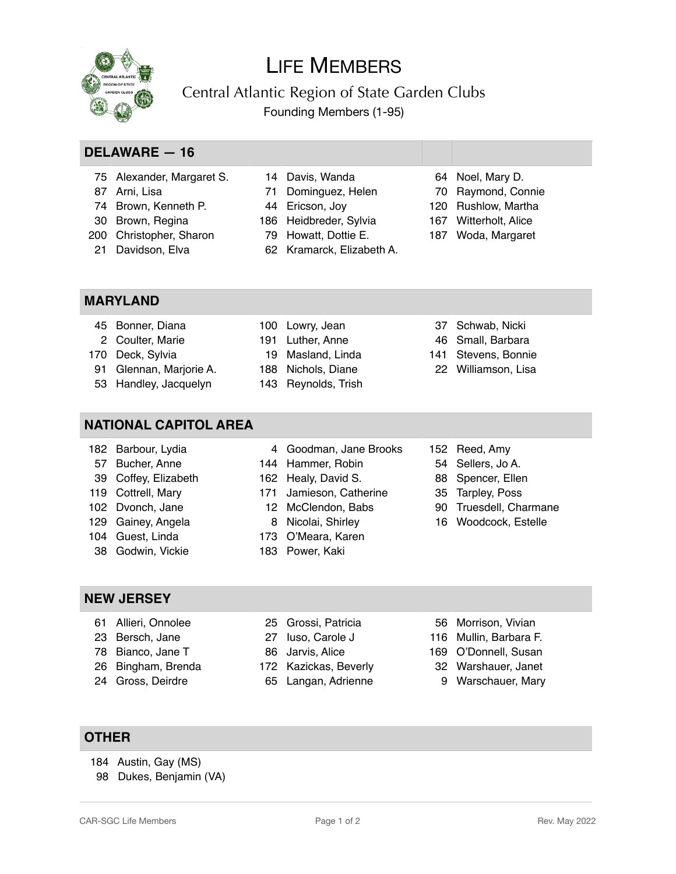

# LIFE MEMBERS

Central Atlantic Region of State Garden Clubs Founding Members (1-95)

## **DELAWARE — 16**

- Alexander, Margaret S.
- Arni, Lisa
- Brown, Kenneth P.
- Brown, Regina
- Christopher, Sharon
- Davidson, Elva
- Davis, Wanda
- Dominguez, Helen Ericson, Joy
- 
- Heidbreder, Sylvia
- Howatt, Dottie E. Kramarck, Elizabeth A.
- Noel, Mary D.
- Raymond, Connie
- Rushlow, Martha
- Witterholt, Alice
- Woda, Margaret

#### **MARYLAND**

- Bonner, Diana Coulter, Marie
- Deck, Sylvia

 Barbour, Lydia Bucher, Anne Coffey, Elizabeth Cottrell, Mary Dvonch, Jane Gainey, Angela Guest, Linda Godwin, Vickie

- Glennan, Marjorie A.
- Handley, Jacquelyn

### **NATIONAL CAPITOL AREA**

 

- 
- Jamieson, Catherine
- 
- 
- 
- 
- Reed, Amy
- Sellers, Jo A.
- Spencer, Ellen
- Tarpley, Poss
- Truesdell, Charmane
- Woodcock, Estelle

- **NEW JERSEY**
	- Allieri, Onnolee
	- Bersch, Jane
	- Bianco, Jane T
	- Bingham, Brenda
	-
- Grossi, Patricia
- Iuso, Carole J
- Jarvis, Alice
- Kazickas, Beverly
- 
- Morrison, Vivian
- Mullin, Barbara F.
- O'Donnell, Susan
- Warshauer, Janet
- Warschauer, Mary

#### **OTHER**

- 184 Austin, Gay (MS)
- 98 Dukes, Benjamin (VA)
- 
- Reynolds, Trish Nichols, Diane
- Lowry, Jean Luther, Anne

Masland, Linda

# Schwab, Nicki

- Small, Barbara
- Stevens, Bonnie
- Williamson, Lisa

- 
- 
- O'Meara, Karen
- Power, Kaki
- 
- 
- 
- 
- 
- Gross, Deirdre
	-
- 
- -
- -
	-
	-
	- Langan, Adrienne
- 
- 
- 
- 
- 
- 
- Goodman, Jane Brooks Hammer, Robin Healy, David S.
- McClendon, Babs
	- Nicolai, Shirley